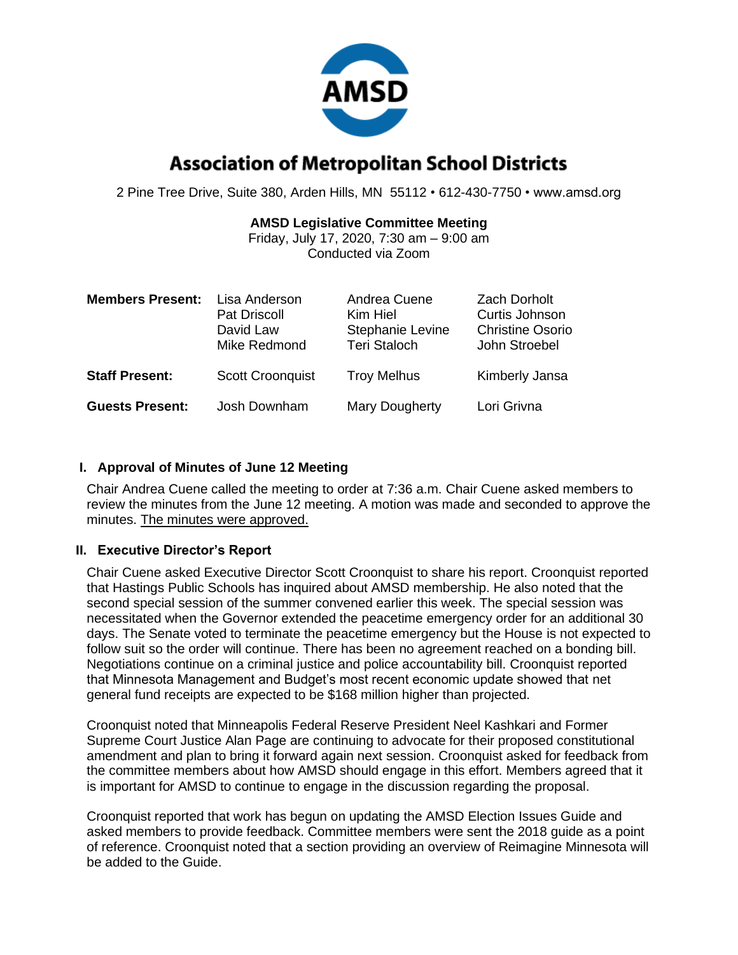

# **Association of Metropolitan School Districts**

2 Pine Tree Drive, Suite 380, Arden Hills, MN 55112 • 612-430-7750 • www.amsd.org

## **AMSD Legislative Committee Meeting**

Friday, July 17, 2020, 7:30 am – 9:00 am Conducted via Zoom

| <b>Members Present:</b> | Lisa Anderson<br><b>Pat Driscoll</b><br>David Law<br>Mike Redmond | Andrea Cuene<br>Kim Hiel<br>Stephanie Levine<br><b>Teri Staloch</b> | <b>Zach Dorholt</b><br>Curtis Johnson<br><b>Christine Osorio</b><br>John Stroebel |
|-------------------------|-------------------------------------------------------------------|---------------------------------------------------------------------|-----------------------------------------------------------------------------------|
| <b>Staff Present:</b>   | <b>Scott Croonquist</b>                                           | <b>Troy Melhus</b>                                                  | Kimberly Jansa                                                                    |
| <b>Guests Present:</b>  | Josh Downham                                                      | Mary Dougherty                                                      | Lori Grivna                                                                       |

## **I. Approval of Minutes of June 12 Meeting**

Chair Andrea Cuene called the meeting to order at 7:36 a.m. Chair Cuene asked members to review the minutes from the June 12 meeting. A motion was made and seconded to approve the minutes. The minutes were approved.

## **II. Executive Director's Report**

Chair Cuene asked Executive Director Scott Croonquist to share his report. Croonquist reported that Hastings Public Schools has inquired about AMSD membership. He also noted that the second special session of the summer convened earlier this week. The special session was necessitated when the Governor extended the peacetime emergency order for an additional 30 days. The Senate voted to terminate the peacetime emergency but the House is not expected to follow suit so the order will continue. There has been no agreement reached on a bonding bill. Negotiations continue on a criminal justice and police accountability bill. Croonquist reported that Minnesota Management and Budget's most recent economic update showed that net general fund receipts are expected to be \$168 million higher than projected.

Croonquist noted that Minneapolis Federal Reserve President Neel Kashkari and Former Supreme Court Justice Alan Page are continuing to advocate for their proposed constitutional amendment and plan to bring it forward again next session. Croonquist asked for feedback from the committee members about how AMSD should engage in this effort. Members agreed that it is important for AMSD to continue to engage in the discussion regarding the proposal.

Croonquist reported that work has begun on updating the AMSD Election Issues Guide and asked members to provide feedback. Committee members were sent the 2018 guide as a point of reference. Croonquist noted that a section providing an overview of Reimagine Minnesota will be added to the Guide.